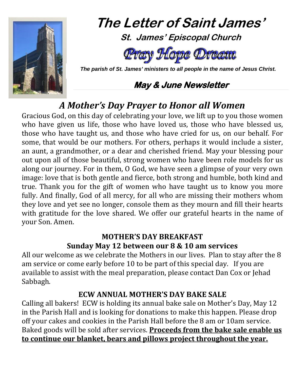

# **The Letter of Saint James' St. James' Episcopal Church**



 *The parish of St. James' ministers to all people in the name of Jesus Christ.*

# **May & June Newsletter**

# *A Mother's Day Prayer to Honor all Women*

Gracious God, on this day of celebrating your love, we lift up to you those women who have given us life, those who have loved us, those who have blessed us, those who have taught us, and those who have cried for us, on our behalf. For some, that would be our mothers. For others, perhaps it would include a sister, an aunt, a grandmother, or a dear and cherished friend. May your blessing pour out upon all of those beautiful, strong women who have been role models for us along our journey. For in them, O God, we have seen a glimpse of your very own image: love that is both gentle and fierce, both strong and humble, both kind and true. Thank you for the gift of women who have taught us to know you more fully. And finally, God of all mercy, for all who are missing their mothers whom they love and yet see no longer, console them as they mourn and fill their hearts with gratitude for the love shared. We offer our grateful hearts in the name of your Son. Amen.

# **MOTHER'S DAY BREAKFAST Sunday May 12 between our 8 & 10 am services**

All our welcome as we celebrate the Mothers in our lives. Plan to stay after the 8 am service or come early before 10 to be part of this special day. If you are available to assist with the meal preparation, please contact Dan Cox or Jehad Sabbagh.

## **ECW ANNUAL MOTHER'S DAY BAKE SALE**

Calling all bakers! ECW is holding its annual bake sale on Mother's Day, May 12 in the Parish Hall and is looking for donations to make this happen. Please drop off your cakes and cookies in the Parish Hall before the 8 am or 10am service. Baked goods will be sold after services. **Proceeds from the bake sale enable us to continue our blanket, bears and pillows project throughout the year.**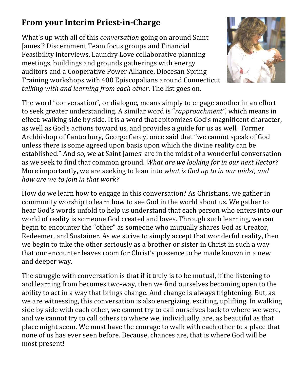# **From your Interim Priest-in-Charge**

What's up with all of this *conversation* going on around Saint James'? Discernment Team focus groups and Financial Feasibility interviews, Laundry Love collaborative planning meetings, buildings and grounds gatherings with energy auditors and a Cooperative Power Alliance, Diocesan Spring Training workshops with 400 Episcopalians around Connecticut *talking with and learning from each other*. The list goes on.



The word "conversation", or dialogue, means simply to engage another in an effort to seek greater understanding. A similar word is "*rapproachment"*, which means in effect: walking side by side. It is a word that epitomizes God's magnificent character, as well as God's actions toward us, and provides a guide for us as well. Former Archbishop of Canterbury, George Carey, once said that "we cannot speak of God unless there is some agreed upon basis upon which the divine reality can be established." And so, we at Saint James' are in the midst of a wonderful conversation as we seek to find that common ground. *What are we looking for in our next Rector?* More importantly, we are seeking to lean into *what is God up to in our midst, and how are we to join in that work?*

How do we learn how to engage in this conversation? As Christians, we gather in community worship to learn how to see God in the world about us. We gather to hear God's words unfold to help us understand that each person who enters into our world of reality is someone God created and loves. Through such learning, we can begin to encounter the "other" as someone who mutually shares God as Creator, Redeemer, and Sustainer. As we strive to simply accept that wonderful reality, then we begin to take the other seriously as a brother or sister in Christ in such a way that our encounter leaves room for Christ's presence to be made known in a new and deeper way.

The struggle with conversation is that if it truly is to be mutual, if the listening to and learning from becomes two-way, then we find ourselves becoming open to the ability to act in a way that brings change. And change is always frightening. But, as we are witnessing, this conversation is also energizing, exciting, uplifting. In walking side by side with each other, we cannot try to call ourselves back to where we were, and we cannot try to call others to where we, individually, are, as beautiful as that place might seem. We must have the courage to walk with each other to a place that none of us has ever seen before. Because, chances are, that is where God will be most present!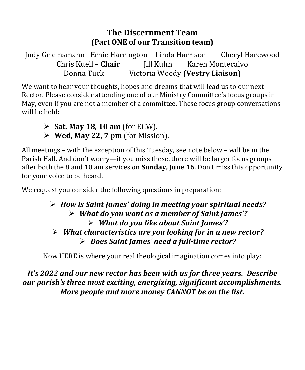#### **The Discernment Team (Part ONE of our Transition team)**

Judy Griemsmann Ernie Harrington Linda Harrison Cheryl Harewood<br>Chris Kuell – **Chair** Iill Kuhn Karen Montecalvo Chris Kuell – **Chair**<br>Donna Tuck **Victoria Woody (Vestry Liaison)** 

We want to hear your thoughts, hopes and dreams that will lead us to our next Rector. Please consider attending one of our Ministry Committee's focus groups in May, even if you are not a member of a committee. These focus group conversations will be held:

- **Sat. May 18**, **10 am** (for ECW).
- **Wed, May 22, 7 pm** (for Mission).

All meetings – with the exception of this Tuesday, see note below – will be in the Parish Hall. And don't worry—if you miss these, there will be larger focus groups after both the 8 and 10 am services on **Sunday, June 16**. Don't miss this opportunity for your voice to be heard.

We request you consider the following questions in preparation:

#### *How is Saint James' doing in meeting your spiritual needs? What do you want as a member of Saint James'? What do you like about Saint James'? What characteristics are you looking for in a new rector? Does Saint James' need a full-time rector?*

Now HERE is where your real theological imagination comes into play:

#### *It's 2022 and our new rector has been with us for three years. Describe our parish's three most exciting, energizing, significant accomplishments. More people and more money CANNOT be on the list.*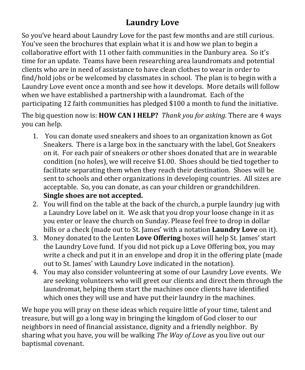# **Laundry Love**

So you've heard about Laundry Love for the past few months and are still curious. You've seen the brochures that explain what it is and how we plan to begin a collaborative effort with 11 other faith communities in the Danbury area. So it's time for an update. Teams have been researching area laundromats and potential clients who are in need of assistance to have clean clothes to wear in order to find/hold jobs or be welcomed by classmates in school. The plan is to begin with a Laundry Love event once a month and see how it develops. More details will follow when we have established a partnership with a laundromat. Each of the participating 12 faith communities has pledged \$100 a month to fund the initiative.

The big question now is: **HOW CAN I HELP?** *Thank you for asking*. There are 4 ways you can help.

- 1. You can donate used sneakers and shoes to an organization known as Got Sneakers. There is a large box in the sanctuary with the label, Got Sneakers on it. For each pair of sneakers or other shoes donated that are in wearable condition (no holes), we will receive \$1.00. Shoes should be tied together to facilitate separating them when they reach their destination. Shoes will be sent to schools and other organizations in developing countries. All sizes are acceptable. So, you can donate, as can your children or grandchildren. **Single shoes are not accepted.**
- 2. You will find on the table at the back of the church, a purple laundry jug with a Laundry Love label on it. We ask that you drop your loose change in it as you enter or leave the church on Sunday. Please feel free to drop in dollar bills or a check (made out to St. James' with a notation **Laundry Love** on it).
- 3. Money donated to the Lenten **Love Offering** boxes will help St. James' start the Laundry Love fund. If you did not pick up a Love Offering box, you may write a check and put it in an envelope and drop it in the offering plate (made out to St. James' with Laundry Love indicated in the notation).
- 4. You may also consider volunteering at some of our Laundry Love events. We are seeking volunteers who will greet our clients and direct them through the laundromat, helping them start the machines once clients have identified which ones they will use and have put their laundry in the machines.

We hope you will pray on these ideas which require little of your time, talent and treasure, but will go a long way in bringing the kingdom of God closer to our neighbors in need of financial assistance, dignity and a friendly neighbor. By sharing what you have, you will be walking *The Way of Love* as you live out our baptismal covenant.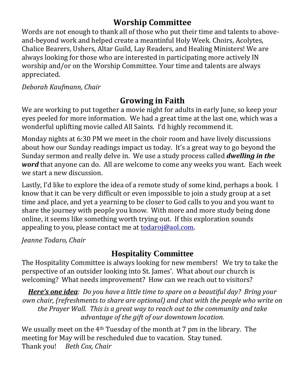# **Worship Committee**

Words are not enough to thank all of those who put their time and talents to aboveand-beyond work and helped create a meantinful Holy Week. Choirs, Acolytes, Chalice Bearers, Ushers, Altar Guild, Lay Readers, and Healing Ministers! We are always looking for those who are interested in participating more actively IN worship and/or on the Worship Committee. Your time and talents are always appreciated.

*Deborah Kaufmann, Chair*

# **Growing in Faith**

We are working to put together a movie night for adults in early June, so keep your eyes peeled for more information. We had a great time at the last one, which was a wonderful uplifting movie called All Saints. I'd highly recommend it.

Monday nights at 6:30 PM we meet in the choir room and have lively discussions about how our Sunday readings impact us today. It's a great way to go beyond the Sunday sermon and really delve in. We use a study process called *dwelling in the word* that anyone can do. All are welcome to come any weeks you want. Each week we start a new discussion.

Lastly, I'd like to explore the idea of a remote study of some kind, perhaps a book. I know that it can be very difficult or even impossible to join a study group at a set time and place, and yet a yearning to be closer to God calls to you and you want to share the journey with people you know. With more and more study being done online, it seems like something worth trying out. If this exploration sounds appealing to you, please contact me a[t todaroj@aol.com.](mailto:todaroj@aol.com)

*Jeanne Todaro, Chair*

# **Hospitality Committee**

The Hospitality Committee is always looking for new members! We try to take the perspective of an outsider looking into St. James'. What about our church is welcoming? What needs improvement? How can we reach out to visitors?

*Here's one idea: Do you have a little time to spare on a beautiful day? Bring your own chair, (refreshments to share are optional) and chat with the people who write on the Prayer Wall. This is a great way to reach out to the community and take advantage of the gift of our downtown location.*

We usually meet on the 4<sup>th</sup> Tuesday of the month at 7 pm in the library. The meeting for May will be rescheduled due to vacation. Stay tuned. Thank you! *Beth Cox, Chair*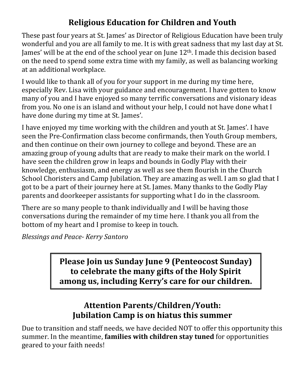# **Religious Education for Children and Youth**

These past four years at St. James' as Director of Religious Education have been truly wonderful and you are all family to me. It is with great sadness that my last day at St. James' will be at the end of the school year on June  $12<sup>th</sup>$ . I made this decision based on the need to spend some extra time with my family, as well as balancing working at an additional workplace.

I would like to thank all of you for your support in me during my time here, especially Rev. Lisa with your guidance and encouragement. I have gotten to know many of you and I have enjoyed so many terrific conversations and visionary ideas from you. No one is an island and without your help, I could not have done what I have done during my time at St. James'.

I have enjoyed my time working with the children and youth at St. James'. I have seen the Pre-Confirmation class become confirmands, then Youth Group members, and then continue on their own journey to college and beyond. These are an amazing group of young adults that are ready to make their mark on the world. I have seen the children grow in leaps and bounds in Godly Play with their knowledge, enthusiasm, and energy as well as see them flourish in the Church School Choristers and Camp Jubilation. They are amazing as well. I am so glad that I got to be a part of their journey here at St. James. Many thanks to the Godly Play parents and doorkeeper assistants for supporting what I do in the classroom.

There are so many people to thank individually and I will be having those conversations during the remainder of my time here. I thank you all from the bottom of my heart and I promise to keep in touch.

*Blessings and Peace- Kerry Santoro*

**Please Join us Sunday June 9 (Penteocost Sunday) to celebrate the many gifts of the Holy Spirit among us, including Kerry's care for our children.**

# **Attention Parents/Children/Youth: Jubilation Camp is on hiatus this summer**

Due to transition and staff needs, we have decided NOT to offer this opportunity this summer. In the meantime, **families with children stay tuned** for opportunities geared to your faith needs!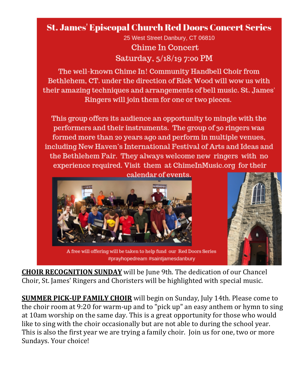# **St. James' Episcopal Church Red Doors Concert Series**

25 West Street Danbury, CT 06810 **Chime In Concert** Saturday, 5/18/19 7:00 PM

The well-known Chime In! Community Handbell Choir from Bethlehem. CT, under the direction of Rick Wood will wow us with their amazing techniques and arrangements of bell music. St. James' Ringers will join them for one or two pieces.

This group offers its audience an opportunity to mingle with the performers and their instruments. The group of 30 ringers was formed more than 20 years ago and perform in multiple venues, including New Haven's International Festival of Arts and Ideas and the Bethlehem Fair. They always welcome new ringers with no experience required. Visit them at ChimeInMusic.org for their



A free will offering will be taken to help fund our Red Doors Series #prayhopedream #saintjamesdanbury



**CHOIR RECOGNITION SUNDAY** will be June 9th. The dedication of our Chancel Choir, St. James' Ringers and Choristers will be highlighted with special music.

**SUMMER PICK-UP FAMILY CHOIR** will begin on Sunday, July 14th. Please come to the choir room at 9:20 for warm-up and to "pick up" an easy anthem or hymn to sing at 10am worship on the same day. This is a great opportunity for those who would like to sing with the choir occasionally but are not able to during the school year. This is also the first year we are trying a family choir. Join us for one, two or more Sundays. Your choice!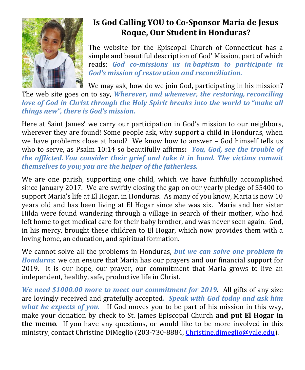

# **Is God Calling YOU to Co-Sponsor Maria de Jesus Roque, Our Student in Honduras?**

The website for the Episcopal Church of Connecticut has a simple and beautiful description of God' Mission, part of which reads: *God co-missions us in baptism to participate in God's mission of restoration and reconciliation.*

We may ask, how do we join God, participating in his mission?

The web site goes on to say, *Wherever, and whenever, the restoring, reconciling love of God in Christ through the Holy Spirit breaks into the world to "make all things new", there is God's mission.*

Here at Saint James' we carry our participation in God's mission to our neighbors, wherever they are found! Some people ask, why support a child in Honduras, when we have problems close at hand? We know how to answer – God himself tells us who to serve, as Psalm 10:14 so beautifully affirms**:** *You, God, see the trouble of the afflicted. You consider their grief and take it in hand. The victims commit themselves to you; you are the helper of the fatherless.*

We are one parish, supporting one child, which we have faithfully accomplished since January 2017. We are swiftly closing the gap on our yearly pledge of \$5400 to support Maria's life at El Hogar, in Honduras. As many of you know, Maria is now 10 years old and has been living at El Hogar since she was six. Maria and her sister Hilda were found wandering through a village in search of their mother, who had left home to get medical care for their baby brother, and was never seen again. God, in his mercy, brought these children to El Hogar, which now provides them with a loving home, an education, and spiritual formation.

We cannot solve all the problems in Honduras, *but we can solve one problem in Honduras*: we can ensure that Maria has our prayers and our financial support for 2019. It is our hope, our prayer, our commitment that Maria grows to live an independent, healthy, safe, productive life in Christ.

*We need \$1000.00 more to meet our commitment for 2019*. All gifts of any size are lovingly received and gratefully accepted*. Speak with God today and ask him what he expects of you.* If God moves you to be part of his mission in this way, make your donation by check to St. James Episcopal Church **and put El Hogar in the memo**. If you have any questions, or would like to be more involved in this ministry, contact Christine DiMeglio (203-730-8884, [Christine.dimeglio@yale.edu\)](mailto:Christine.dimeglio@yale.edu).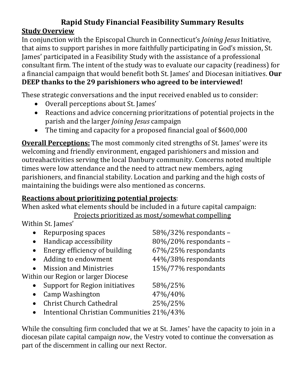## **Rapid Study Financial Feasibility Summary Results Study Overview**

In conjunction with the Episcopal Church in Connecticut's *Joining Jesus* Initiative, that aims to support parishes in more faithfully participating in God's mission, St. James' participated in a Feasibility Study with the assistance of a professional consultant firm. The intent of the study was to evaluate our capacity (readiness) for a financial campaign that would benefit both St. James' and Diocesan initiatives. **Our DEEP thanks to the 29 parishioners who agreed to be interviewed!**

These strategic conversations and the input received enabled us to consider:

- Overall perceptions about St. James'
- Reactions and advice concerning prioritzations of potential projects in the parish and the larger *Joining Jesus* campaign
- The timing and capacity for a proposed financial goal of \$600,000

**Overall Perceptions:** The most commonly cited strengths of St. James' were its welcoming and friendly environment, engaged parishioners and mission and outreahactivities serving the local Danbury community. Concerns noted multiple times were low attendance and the need to attract new members, aging parishioners, and financial stability. Location and parking and the high costs of maintaining the buidings were also mentioned as concerns.

#### **Reactions about prioritizing potential projects**:

When asked what elements should be included in a future capital campaign: Projects prioritized as most/somewhat compelling

Within St. James'

|           | Repurposing spaces                        | 58%/32% respondants - |
|-----------|-------------------------------------------|-----------------------|
|           | Handicap accessibility                    | 80%/20% respondants - |
|           | Energy efficiency of building             | 67%/25% respondants   |
| $\bullet$ | Adding to endowment                       | 44%/38% respondants   |
|           | <b>Mission and Ministries</b>             | 15%/77% respondants   |
|           | Within our Region or larger Diocese       |                       |
|           | Support for Region initiatives            | 58%/25%               |
|           | Camp Washington                           | 47%/40%               |
|           | <b>Christ Church Cathedral</b>            | 25%/25%               |
|           | Intentional Christian Communities 21%/43% |                       |

While the consulting firm concluded that we at St. James' have the capacity to join in a diocesan pilate capital campaign *now,* the Vestry voted to continue the conversation as part of the discernment in calling our next Rector.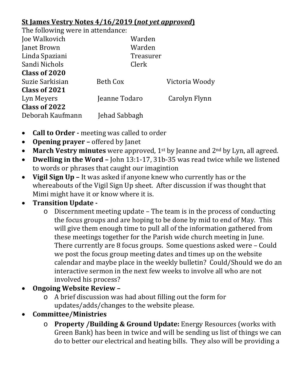#### **St James Vestry Notes 4/16/2019 (***not yet approved***)**

The following were in attendance:

| The following were in accomanice. |               |                |  |
|-----------------------------------|---------------|----------------|--|
| Joe Walkovich                     | Warden        |                |  |
| Janet Brown                       | Warden        |                |  |
| Linda Spaziani                    | Treasurer     |                |  |
| Sandi Nichols                     | Clerk         |                |  |
| Class of 2020                     |               |                |  |
| Suzie Sarkisian                   | Beth Cox      | Victoria Woody |  |
| Class of 2021                     |               |                |  |
| Lyn Meyers                        | Jeanne Todaro | Carolyn Flynn  |  |
| Class of 2022                     |               |                |  |
| Deborah Kaufmann                  | Jehad Sabbagh |                |  |
|                                   |               |                |  |

- **Call to Order -** meeting was called to order
- **Opening prayer –** offered by Janet
- **March Vestry minutes** were approved, 1<sup>st</sup> by Jeanne and 2<sup>nd</sup> by Lyn, all agreed.
- **Dwelling in the Word –** John 13:1-17, 31b-35 was read twice while we listened to words or phrases that caught our imagintion
- **Vigil Sign Up –** It was asked if anyone knew who currently has or the whereabouts of the Vigil Sign Up sheet. After discussion if was thought that Mimi might have it or know where it is.

## • **Transition Update -**

- o Discernment meeting update The team is in the process of conducting the focus groups and are hoping to be done by mid to end of May. This will give them enough time to pull all of the information gathered from these meetings together for the Parish wide church meeting in June. There currently are 8 focus groups. Some questions asked were – Could we post the focus group meeting dates and times up on the website calendar and maybe place in the weekly bulletin? Could/Should we do an interactive sermon in the next few weeks to involve all who are not involved his process?
- **Ongoing Website Review –**
	- o A brief discussion was had about filling out the form for updates/adds/changes to the website please.
- **Committee/Ministries** 
	- o **Property /Building & Ground Update:** Energy Resources (works with Green Bank) has been in twice and will be sending us list of things we can do to better our electrical and heating bills. They also will be providing a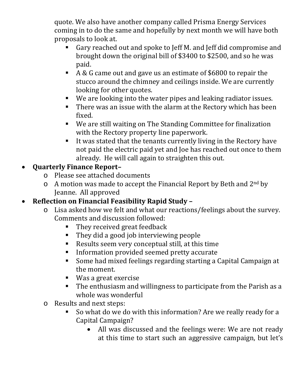quote. We also have another company called Prisma Energy Services coming in to do the same and hopefully by next month we will have both proposals to look at.

- Gary reached out and spoke to Jeff M. and Jeff did compromise and brought down the original bill of \$3400 to \$2500, and so he was paid.
- A & G came out and gave us an estimate of \$6800 to repair the stucco around the chimney and ceilings inside. We are currently looking for other quotes.
- We are looking into the water pipes and leaking radiator issues.
- **There was an issue with the alarm at the Rectory which has been** fixed.
- We are still waiting on The Standing Committee for finalization with the Rectory property line paperwork.
- $\blacksquare$  It was stated that the tenants currently living in the Rectory have not paid the electric paid yet and Joe has reached out once to them already. He will call again to straighten this out.

#### • **Quarterly Finance Report–**

- o Please see attached documents
- $\circ$  A motion was made to accept the Financial Report by Beth and 2<sup>nd</sup> by Jeanne. All approved

#### • **Reflection on Financial Feasibility Rapid Study –**

- o Lisa asked how we felt and what our reactions/feelings about the survey. Comments and discussion followed:
	- They received great feedback
	- They did a good job interviewing people
	- Results seem very conceptual still, at this time
	- **Information provided seemed pretty accurate**
	- Some had mixed feelings regarding starting a Capital Campaign at the moment.
	- Was a great exercise
	- The enthusiasm and willingness to participate from the Parish as a whole was wonderful
- o Results and next steps:
	- So what do we do with this information? Are we really ready for a Capital Campaign?
		- All was discussed and the feelings were: We are not ready at this time to start such an aggressive campaign, but let's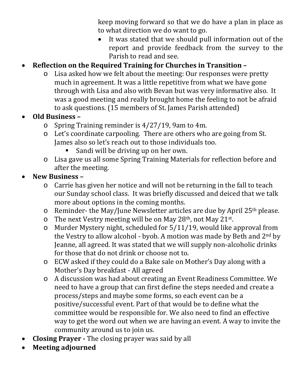keep moving forward so that we do have a plan in place as to what direction we do want to go.

It was stated that we should pull information out of the report and provide feedback from the survey to the Parish to read and see.

# • **Reflection on the Required Training for Churches in Transition –**

o Lisa asked how we felt about the meeting: Our responses were pretty much in agreement. It was a little repetitive from what we have gone through with Lisa and also with Bevan but was very informative also. It was a good meeting and really brought home the feeling to not be afraid to ask questions. (15 members of St. James Parish attended)

#### • **Old Business –**

- o Spring Training reminder is 4/27/19, 9am to 4m.
- o Let's coordinate carpooling. There are others who are going from St. James also so let's reach out to those individuals too.
	- Sandi will be driving up on her own.
- o Lisa gave us all some Spring Training Materials for reflection before and after the meeting.

#### • **New Business –**

- o Carrie has given her notice and will not be returning in the fall to teach our Sunday school class. It was briefly discussed and deiced that we talk more about options in the coming months.
- o Reminder- the May/June Newsletter articles are due by April 25th please.
- $\circ$  The next Vestry meeting will be on May 28<sup>th</sup>, not May 21<sup>st</sup>.
- o Murder Mystery night, scheduled for 5/11/19, would like approval from the Vestry to allow alcohol - byob. A motion was made by Beth and 2nd by Jeanne, all agreed. It was stated that we will supply non-alcoholic drinks for those that do not drink or choose not to.
- o ECW asked if they could do a Bake sale on Mother's Day along with a Mother's Day breakfast - All agreed
- o A discussion was had about creating an Event Readiness Committee. We need to have a group that can first define the steps needed and create a process/steps and maybe some forms, so each event can be a positive/successful event. Part of that would be to define what the committee would be responsible for. We also need to find an effective way to get the word out when we are having an event. A way to invite the community around us to join us.
- **Closing Prayer -** The closing prayer was said by all
- **Meeting adjourned**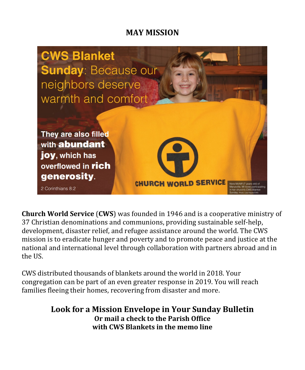## **MAY MISSION**



**Church World Service** (**CWS**) was founded in 1946 and is a cooperative ministry of 37 Christian denominations and communions, providing sustainable self-help, development, disaster relief, and refugee assistance around the world. The CWS mission is to eradicate hunger and poverty and to promote peace and justice at the national and international level through collaboration with partners abroad and in the US.

CWS distributed thousands of blankets around the world in 2018. Your congregation can be part of an even greater response in 2019. You will reach families fleeing their homes, recovering from disaster and more.

> **Look for a Mission Envelope in Your Sunday Bulletin Or mail a check to the Parish Office with CWS Blankets in the memo line**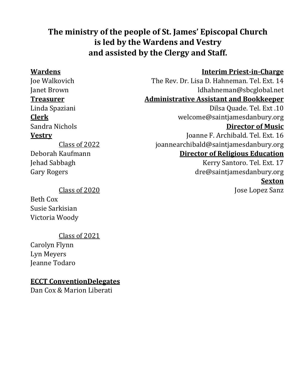# **The ministry of the people of St. James' Episcopal Church is led by the Wardens and Vestry and assisted by the Clergy and Staff.**

#### **Wardens Interim Priest-in-Charge**

Joe Walkovich The Rev. Dr. Lisa D. Hahneman. Tel. Ext. 14 ldhahneman@sbcglobal.net **Treasurer Administrative Assistant and Bookkeeper**

Linda Spaziani Dilsa Quade. Tel. Ext .10 **Clerk** welcome@saintjamesdanbury.org Sandra Nichols **Director of Music**

**Vestry** Joanne F. Archibald. Tel. Ext. 16 [joannearchibald@saintjamesdanbury.org](mailto:joannearchibald@saintjamesdanbury.org) **Director of Religious Education**

> Kerry Santoro. Tel. Ext. 17 [dre@saintjamesdanbury.org](mailto:dre@saintjamesdanbury.org) **Sexton**

Jose Lopez Sanz

Class of 2022 Deborah Kaufmann Jehad Sabbagh Gary Rogers

#### Class of 2020

Beth Cox Susie Sarkisian Victoria Woody

#### Class of 2021

Carolyn Flynn Lyn Meyers Jeanne Todaro

#### **ECCT ConventionDelegates**

Dan Cox & Marion Liberati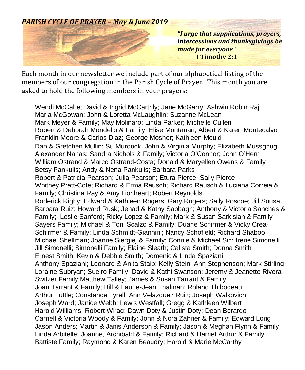#### *PARISH CYCLE OF PRAYER – May & June 2019*



*"I urge that supplications, prayers, intercessions and thanksgivings be made for everyone"*  **I Timothy 2:1**

Each month in our newsletter we include part of our alphabetical listing of the members of our congregation in the Parish Cycle of Prayer. This month you are asked to hold the following members in your prayers:

Wendi McCabe; David & Ingrid McCarthly; Jane McGarry; Ashwin Robin Raj Maria McGowan; John & Loretta McLaughlin; Suzanne McLean Mark Meyer & Family; May Molinaro; Linda Parker; Michelle Cullen Robert & Deborah Mondello & Family; Elise Montanari; Albert & Karen Montecalvo Franklin Moore & Carlos Diaz; George Mosher; Kathleen Mould Dan & Gretchen Mullin; Su Murdock; John & Virginia Murphy; Elizabeth Mussgnug Alexander Nahas; Sandra Nichols & Family; Victoria O'Connor; John O'Hern William Ostrand & Marco Ostrand-Costa; Donald & Maryellen Owens & Family Betsy Pankulis; Andy & Nena Pankulis; Barbara Parks Robert & Patricia Pearson; Julia Pearson; Etura Pierce; Sally Pierce Whitney Pratt-Cote; Richard & Erma Rausch; Richard Rausch & Luciana Correia & Family; Christina Ray & Amy Lionheart; Robert Reynolds Roderick Rigby; Edward & Kathleen Rogers; Gary Rogers; Sally Roscoe; Jill Sousa Barbara Ruiz; Howard Rusk; Jehad & Kathy Sabbagh; Anthony & Victoria Sanches & Family; Leslie Sanford; Ricky Lopez & Family; Mark & Susan Sarkisian & Family Sayers Family; Michael & Toni Scalzo & Family; Duane Schirmer & Vicky Crea-Schirmer & Family; Linda Schmidt-Giannini; Nancy Schofield; Richard Shaboo Michael Shellman; Joanne Siergiej & Family; Connie & Michael Sih; Irene Simonelli Jill Simonelli; Simonelli Family; Elaine Sleath; Calista Smith; Donna Smith Ernest Smith; Kevin & Debbie Smith; Domenic & Linda Spaziani Anthony Spaziani; Leonard & Anita Staib; Kelly Stein; Ann Stephenson; Mark Stirling Loraine Subryan; Sueiro Family; David & Kathi Swanson; Jeremy & Jeanette Rivera Switzer Family;Matthew Talley; James & Susan Tarrant & Family Joan Tarrant & Family; Bill & Laurie-Jean Thalman; Roland Thibodeau Arthur Tuttle; Constance Tyrell; Ann Velazquez Ruiz; Joseph Walkovich Joseph Ward; Janice Webb; Lewis Westfall; Gregg & Kathleen Wilbert Harold Williams; Robert Wirag; Dawn Doty & Justin Doty; Dean Berardo Carnell & Victoria Woody & Family; John & Nora Zahner & Family; Edward Long Jason Anders; Martin & Janis Anderson & Family; Jason & Meghan Flynn & Family Linda Arbitelle; Joanne, Archibald & Family; Richard & Harriet Arthur & Family Battiste Family; Raymond & Karen Beaudry; Harold & Marie McCarthy